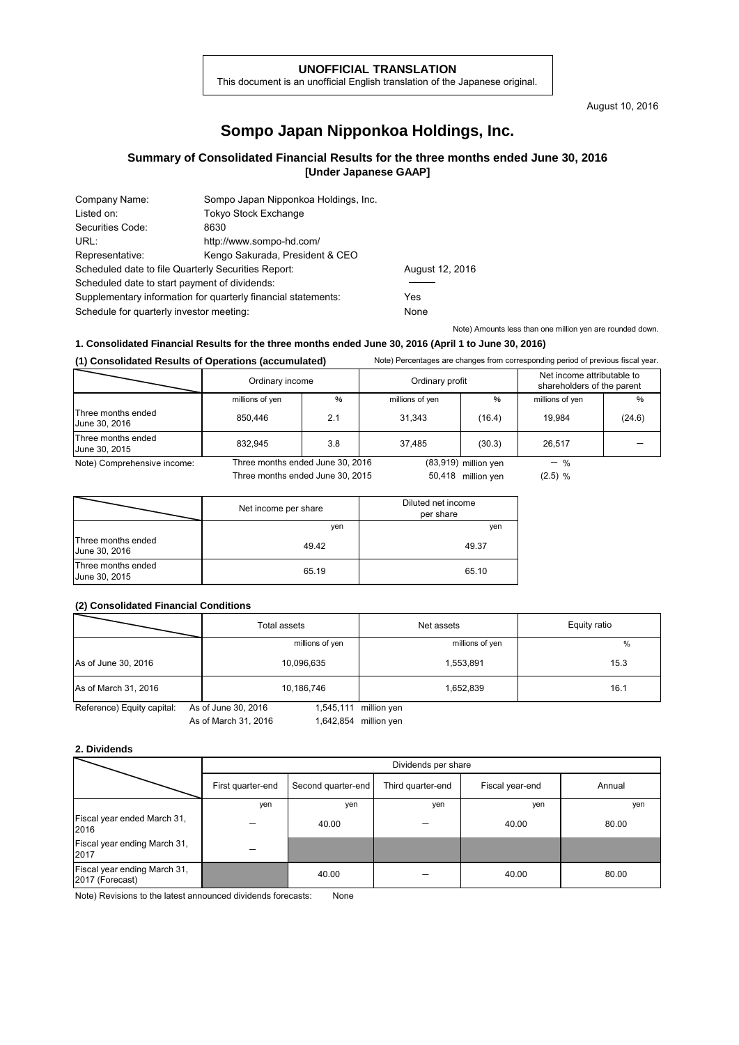### **UNOFFICIAL TRANSLATION**

This document is an unofficial English translation of the Japanese original.

August 10, 2016

# **Sompo Japan Nipponkoa Holdings, Inc.**

## **Summary of Consolidated Financial Results for the three months ended June 30, 2016 [Under Japanese GAAP]**

| Company Name:                                       | Sompo Japan Nipponkoa Holdings, Inc.                          |                 |
|-----------------------------------------------------|---------------------------------------------------------------|-----------------|
| Listed on:                                          | <b>Tokyo Stock Exchange</b>                                   |                 |
| Securities Code:                                    | 8630                                                          |                 |
| URL:                                                | http://www.sompo-hd.com/                                      |                 |
| Representative:                                     | Kengo Sakurada, President & CEO                               |                 |
| Scheduled date to file Quarterly Securities Report: |                                                               | August 12, 2016 |
| Scheduled date to start payment of dividends:       |                                                               |                 |
|                                                     | Supplementary information for quarterly financial statements: | Yes             |
| Schedule for quarterly investor meeting:            |                                                               | None            |

Note) Amounts less than one million yen are rounded down.

### **1. Consolidated Financial Results for the three months ended June 30, 2016 (April 1 to June 30, 2016)**

**(1) Consolidated Results of Operations (accumulated)** Note) Percentages are changes from corresponding period of previous fiscal year.

|                                     | Ordinary income                  |     | Ordinary profit |                        | Net income attributable to<br>shareholders of the parent |        |
|-------------------------------------|----------------------------------|-----|-----------------|------------------------|----------------------------------------------------------|--------|
|                                     | millions of yen                  | %   | millions of yen | %                      | millions of yen                                          | %      |
| Three months ended<br>June 30, 2016 | 850.446                          | 2.1 | 31.343          | (16.4)                 | 19.984                                                   | (24.6) |
| Three months ended<br>June 30, 2015 | 832.945                          | 3.8 | 37.485          | (30.3)                 | 26.517                                                   |        |
| Note) Comprehensive income:         | Three months ended June 30, 2016 |     |                 | $(83,919)$ million yen | $-$ %                                                    |        |
|                                     | Three months ended June 30, 2015 |     |                 | 50,418 million yen     | $(2.5)$ %                                                |        |

|                                     | Net income per share | Diluted net income<br>per share |
|-------------------------------------|----------------------|---------------------------------|
|                                     | ven                  | yen                             |
| Three months ended<br>June 30, 2016 | 49.42                | 49.37                           |
| Three months ended<br>June 30, 2015 | 65.19                | 65.10                           |

### **(2) Consolidated Financial Conditions**

|                            | Total assets                     | Net assets      | Equity ratio |
|----------------------------|----------------------------------|-----------------|--------------|
|                            | millions of yen                  | millions of yen | %            |
| As of June 30, 2016        | 10,096,635                       | 1,553,891       | 15.3         |
| As of March 31, 2016       | 10,186,746                       | 1,652,839       | 16.1         |
| Reference) Equity capital: | 1,545,111<br>As of June 30, 2016 | million yen     |              |

Reference) Equity capital: As of June 30, 2016

As of March 31, 2016 1,642,854 million yen

#### **2. Dividends**

|                                                 | Dividends per share |                    |                   |                 |        |
|-------------------------------------------------|---------------------|--------------------|-------------------|-----------------|--------|
|                                                 | First quarter-end   | Second quarter-end | Third quarter-end | Fiscal year-end | Annual |
|                                                 | yen                 | yen                | yen               | ven             | yen    |
| Fiscal year ended March 31,<br>2016             |                     | 40.00              |                   | 40.00           | 80.00  |
| Fiscal year ending March 31,<br>2017            |                     |                    |                   |                 |        |
| Fiscal year ending March 31,<br>2017 (Forecast) |                     | 40.00              |                   | 40.00           | 80.00  |

Note) Revisions to the latest announced dividends forecasts: None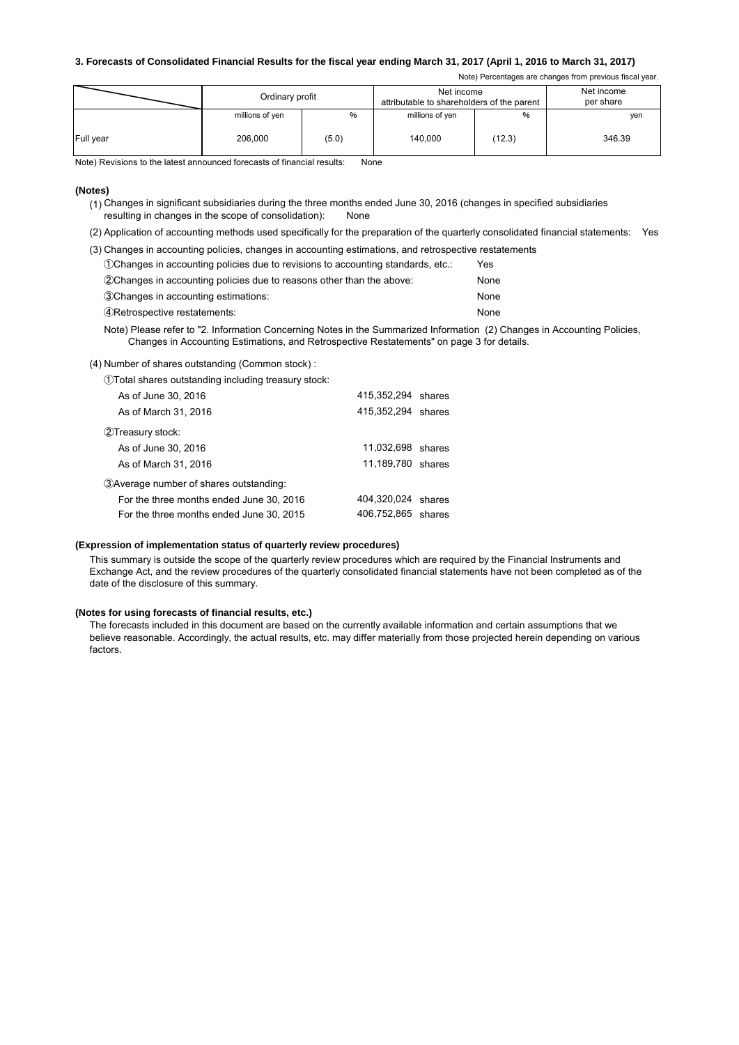### **3. Forecasts of Consolidated Financial Results for the fiscal year ending March 31, 2017 (April 1, 2016 to March 31, 2017)**

Note) Percentages are changes from previous fiscal year.

|           | Ordinary profit |       | Net income<br>attributable to shareholders of the parent |        | Net income<br>per share |
|-----------|-----------------|-------|----------------------------------------------------------|--------|-------------------------|
|           | millions of yen | %     | millions of yen                                          | %      | yen                     |
| Full year | 206.000         | (5.0) | 140.000                                                  | (12.3) | 346.39                  |

Note) Revisions to the latest announced forecasts of financial results: None

#### **(Notes)**

(1) Changes in significant subsidiaries during the three months ended June 30, 2016 (changes in specified subsidiaries resulting in changes in the scope of consolidation): None

(2) Application of accounting methods used specifically for the preparation of the quarterly consolidated financial statements: Yes

(3) Changes in accounting policies, changes in accounting estimations, and retrospective restatements

| (1) Changes in accounting policies due to revisions to accounting standards, etc.: | Yes  |
|------------------------------------------------------------------------------------|------|
| (2) Changes in accounting policies due to reasons other than the above:            | None |
| 3 Changes in accounting estimations:                                               | None |
| 4) Retrospective restatements:                                                     | None |

Note) Please refer to "2. Information Concerning Notes in the Summarized Information (2) Changes in Accounting Policies, Changes in Accounting Estimations, and Retrospective Restatements" on page 3 for details.

(4) Number of shares outstanding (Common stock) :

①Total shares outstanding including treasury stock:

| As of June 30, 2016                      | 415,352,294 shares |  |
|------------------------------------------|--------------------|--|
| As of March 31, 2016                     | 415,352,294 shares |  |
| 2Treasury stock:                         |                    |  |
| As of June 30, 2016                      | 11,032,698 shares  |  |
| As of March 31, 2016                     | 11,189,780 shares  |  |
| 3) Average number of shares outstanding: |                    |  |
| For the three months ended June 30, 2016 | 404,320,024 shares |  |
| For the three months ended June 30, 2015 | 406,752,865 shares |  |

#### **(Expression of implementation status of quarterly review procedures)**

This summary is outside the scope of the quarterly review procedures which are required by the Financial Instruments and Exchange Act, and the review procedures of the quarterly consolidated financial statements have not been completed as of the date of the disclosure of this summary.

#### **(Notes for using forecasts of financial results, etc.)**

The forecasts included in this document are based on the currently available information and certain assumptions that we believe reasonable. Accordingly, the actual results, etc. may differ materially from those projected herein depending on various factors.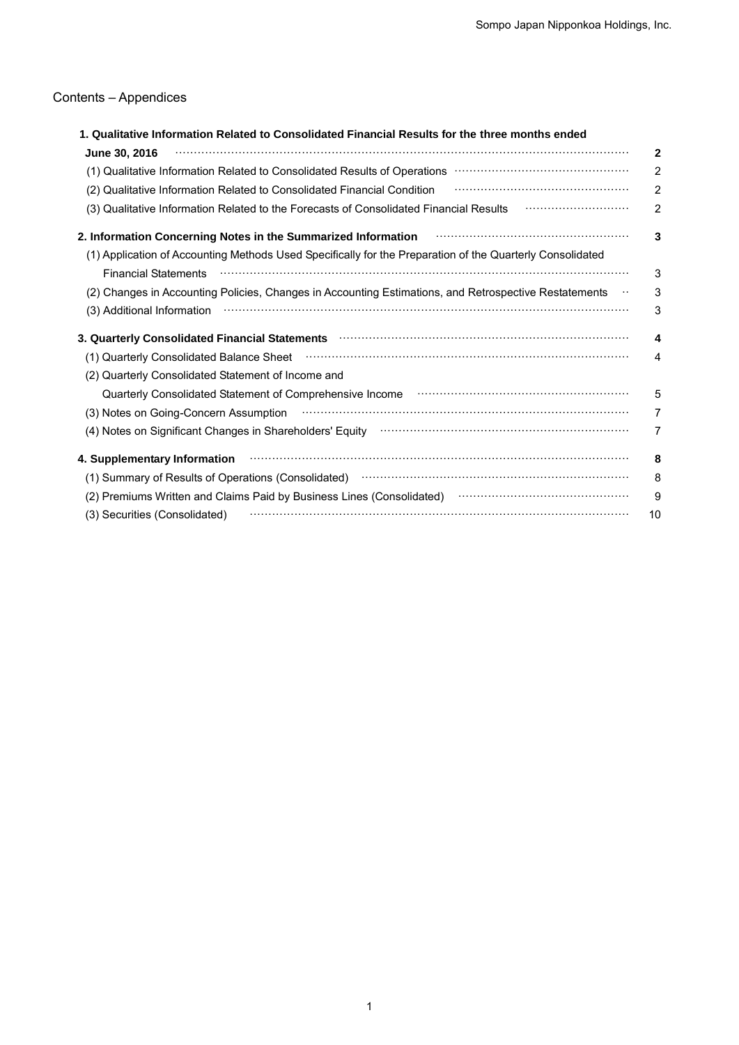# Contents – Appendices

| ntents – Appendices                                |                                                                                                                                                                                                                                |
|----------------------------------------------------|--------------------------------------------------------------------------------------------------------------------------------------------------------------------------------------------------------------------------------|
| June 30, 2016                                      | 1. Qualitative Information Related to Consolidated Financial Results for the three months ended                                                                                                                                |
|                                                    | (1) Qualitative Information Related to Consolidated Results of Operations <b>William Constitute Information</b> Related to Consolidated Results of Operations <b>Constitute Information</b>                                    |
|                                                    | (2) Qualitative Information Related to Consolidated Financial Condition                                                                                                                                                        |
|                                                    | (3) Qualitative Information Related to the Forecasts of Consolidated Financial Results                                                                                                                                         |
|                                                    | 2. Information Concerning Notes in the Summarized Information                                                                                                                                                                  |
|                                                    | (1) Application of Accounting Methods Used Specifically for the Preparation of the Quarterly Consolidated                                                                                                                      |
| <b>Financial Statements</b>                        | (2) Changes in Accounting Policies, Changes in Accounting Estimations, and Retrospective Restatements                                                                                                                          |
|                                                    | (3) Additional Information material contracts and the contracts of the contracts of the contracts of the control of the contracts of the control of the control of the control of the control of the control of the control of |
|                                                    | 3. Quarterly Consolidated Financial Statements <b>contract to the Constantine Consolidated</b> Financial Statements                                                                                                            |
| (1) Quarterly Consolidated Balance Sheet           |                                                                                                                                                                                                                                |
| (2) Quarterly Consolidated Statement of Income and |                                                                                                                                                                                                                                |
|                                                    | Quarterly Consolidated Statement of Comprehensive Income <b>construction controller construction</b>                                                                                                                           |
| (3) Notes on Going-Concern Assumption              |                                                                                                                                                                                                                                |
|                                                    | (4) Notes on Significant Changes in Shareholders' Equity (1) 11 million control and Significant Changes in Shareholders' Equity                                                                                                |
| 4. Supplementary Information                       |                                                                                                                                                                                                                                |
|                                                    | (1) Summary of Results of Operations (Consolidated) manufactured control of the summary of Results of Operations (Consolidated)                                                                                                |
|                                                    | (2) Premiums Written and Claims Paid by Business Lines (Consolidated) manufactured controller and Claims Paid                                                                                                                  |
|                                                    |                                                                                                                                                                                                                                |
|                                                    |                                                                                                                                                                                                                                |
|                                                    |                                                                                                                                                                                                                                |
|                                                    |                                                                                                                                                                                                                                |
|                                                    |                                                                                                                                                                                                                                |
|                                                    |                                                                                                                                                                                                                                |
|                                                    |                                                                                                                                                                                                                                |
|                                                    |                                                                                                                                                                                                                                |
|                                                    |                                                                                                                                                                                                                                |
|                                                    |                                                                                                                                                                                                                                |
|                                                    |                                                                                                                                                                                                                                |
|                                                    |                                                                                                                                                                                                                                |
|                                                    |                                                                                                                                                                                                                                |
|                                                    |                                                                                                                                                                                                                                |
|                                                    |                                                                                                                                                                                                                                |
|                                                    |                                                                                                                                                                                                                                |
|                                                    |                                                                                                                                                                                                                                |
|                                                    |                                                                                                                                                                                                                                |
|                                                    |                                                                                                                                                                                                                                |
|                                                    |                                                                                                                                                                                                                                |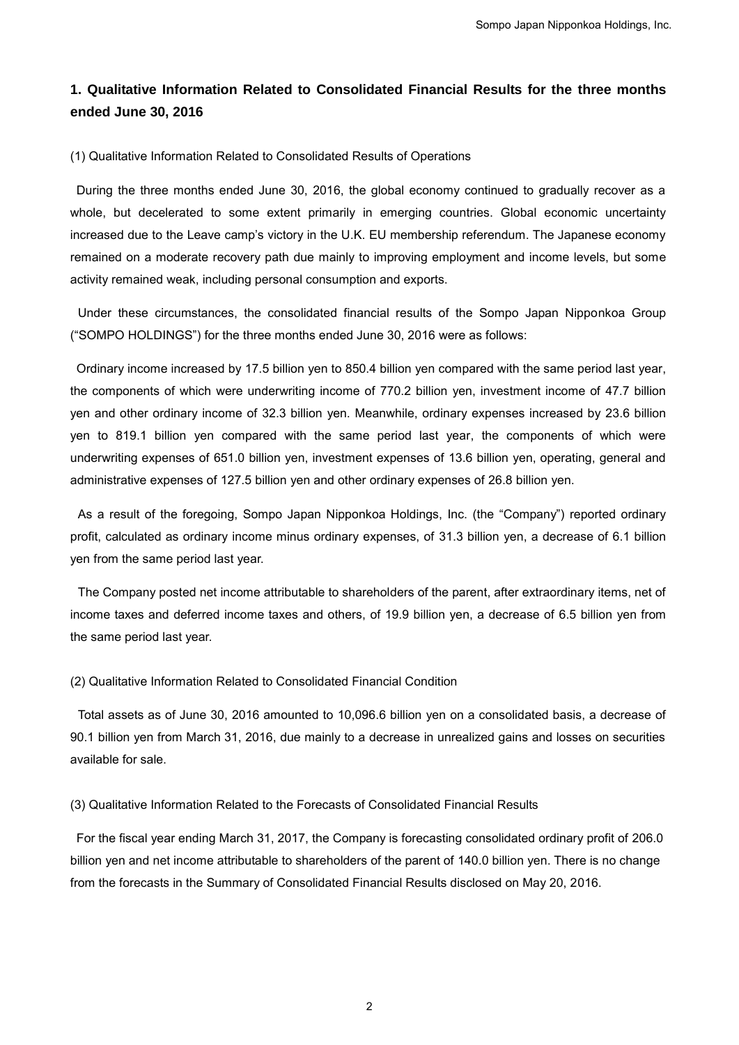# **1. Qualitative Information Related to Consolidated Financial Results for the three months ended June 30, 2016**

## (1) Qualitative Information Related to Consolidated Results of Operations

During the three months ended June 30, 2016, the global economy continued to gradually recover as a whole, but decelerated to some extent primarily in emerging countries. Global economic uncertainty increased due to the Leave camp's victory in the U.K. EU membership referendum. The Japanese economy remained on a moderate recovery path due mainly to improving employment and income levels, but some activity remained weak, including personal consumption and exports.

Under these circumstances, the consolidated financial results of the Sompo Japan Nipponkoa Group ("SOMPO HOLDINGS") for the three months ended June 30, 2016 were as follows:

Ordinary income increased by 17.5 billion yen to 850.4 billion yen compared with the same period last year, the components of which were underwriting income of 770.2 billion yen, investment income of 47.7 billion yen and other ordinary income of 32.3 billion yen. Meanwhile, ordinary expenses increased by 23.6 billion yen to 819.1 billion yen compared with the same period last year, the components of which were underwriting expenses of 651.0 billion yen, investment expenses of 13.6 billion yen, operating, general and administrative expenses of 127.5 billion yen and other ordinary expenses of 26.8 billion yen. Sompo Japan Nipponkoa Holdings, Inc.<br> **dated Financial Results for the three months**<br>
sults of Operations<br>
global economy continued to gradually recover as a<br>
n emerging countries. Global economic uncertainty<br>
EU membershi

As a result of the foregoing, Sompo Japan Nipponkoa Holdings, Inc. (the "Company") reported ordinary profit, calculated as ordinary income minus ordinary expenses, of 31.3 billion yen, a decrease of 6.1 billion yen from the same period last year.

The Company posted net income attributable to shareholders of the parent, after extraordinary items, net of income taxes and deferred income taxes and others, of 19.9 billion yen, a decrease of 6.5 billion yen from the same period last year.

### (2) Qualitative Information Related to Consolidated Financial Condition

Total assets as of June 30, 2016 amounted to 10,096.6 billion yen on a consolidated basis, a decrease of 90.1 billion yen from March 31, 2016, due mainly to a decrease in unrealized gains and losses on securities available for sale.

### (3) Qualitative Information Related to the Forecasts of Consolidated Financial Results

For the fiscal year ending March 31, 2017, the Company is forecasting consolidated ordinary profit of 206.0 billion yen and net income attributable to shareholders of the parent of 140.0 billion yen. There is no change from the forecasts in the Summary of Consolidated Financial Results disclosed on May 20, 2016.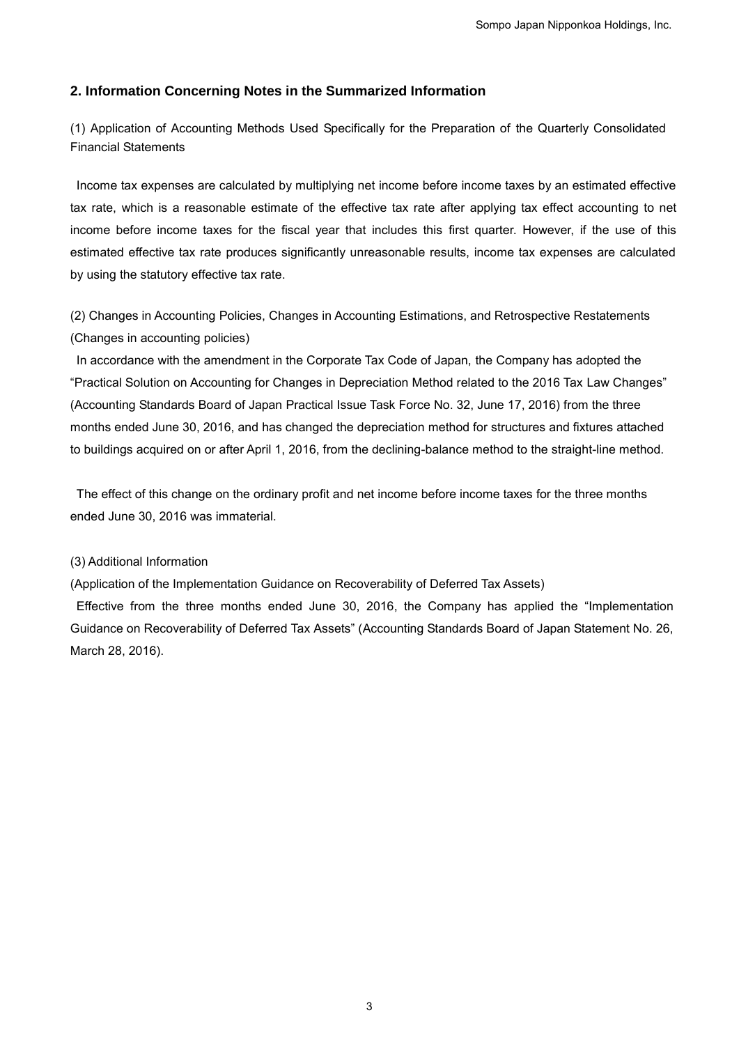## **2. Information Concerning Notes in the Summarized Information**

(1) Application of Accounting Methods Used Specifically for the Preparation of the Quarterly Consolidated Financial Statements

Income tax expenses are calculated by multiplying net income before income taxes by an estimated effective tax rate, which is a reasonable estimate of the effective tax rate after applying tax effect accounting to net income before income taxes for the fiscal year that includes this first quarter. However, if the use of this estimated effective tax rate produces significantly unreasonable results, income tax expenses are calculated by using the statutory effective tax rate. Sompo Japan Nipponkoa Holdings, Inc.<br>
arrized Information<br>
ally for the Preparation of the Quarterly Consolidated<br>
et income before income laxes by an estimated effective<br>
includes this first quarter. However, if the use o

(2) Changes in Accounting Policies, Changes in Accounting Estimations, and Retrospective Restatements (Changes in accounting policies)

In accordance with the amendment in the Corporate Tax Code of Japan, the Company has adopted the "Practical Solution on Accounting for Changes in Depreciation Method related to the 2016 Tax Law Changes" (Accounting Standards Board of Japan Practical Issue Task Force No. 32, June 17, 2016) from the three months ended June 30, 2016, and has changed the depreciation method for structures and fixtures attached to buildings acquired on or after April 1, 2016, from the declining-balance method to the straight-line method.

The effect of this change on the ordinary profit and net income before income taxes for the three months ended June 30, 2016 was immaterial.

## (3) Additional Information

(Application of the Implementation Guidance on Recoverability of Deferred Tax Assets)

Effective from the three months ended June 30, 2016, the Company has applied the "Implementation Guidance on Recoverability of Deferred Tax Assets" (Accounting Standards Board of Japan Statement No. 26, March 28, 2016).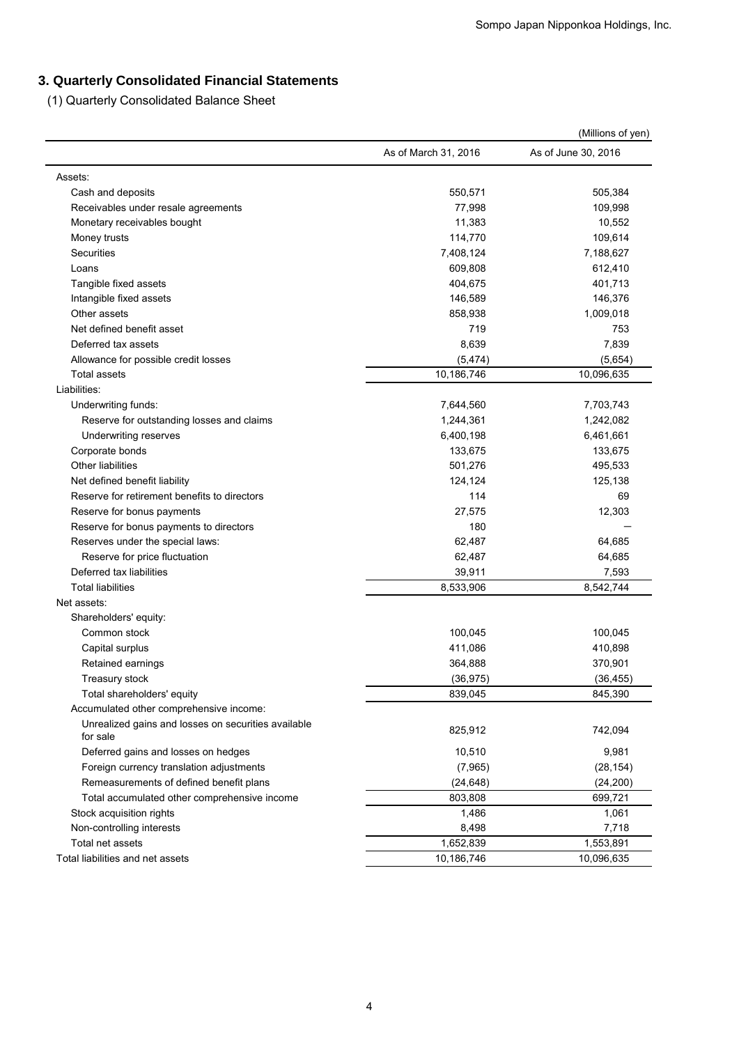# **3. Quarterly Consolidated Financial Statements**

|                                                                   |                      | (Millions of yen)   |
|-------------------------------------------------------------------|----------------------|---------------------|
|                                                                   | As of March 31, 2016 | As of June 30, 2016 |
| Assets:                                                           |                      |                     |
| Cash and deposits                                                 | 550,571              | 505,384             |
| Receivables under resale agreements                               | 77,998               | 109,998             |
| Monetary receivables bought                                       | 11,383               | 10,552              |
| Money trusts                                                      | 114,770              | 109,614             |
| Securities                                                        | 7,408,124            | 7,188,627           |
| Loans                                                             | 609,808              | 612,410             |
| Tangible fixed assets                                             | 404,675              | 401,713             |
| Intangible fixed assets                                           | 146,589              | 146,376             |
| Other assets                                                      | 858,938              | 1,009,018           |
| Net defined benefit asset                                         | 719                  | 753                 |
| Deferred tax assets                                               | 8,639                | 7,839               |
| Allowance for possible credit losses                              | (5, 474)             | (5,654)             |
| Total assets                                                      | 10,186,746           | 10,096,635          |
| Liabilities:                                                      |                      |                     |
| Underwriting funds:                                               | 7,644,560            | 7,703,743           |
| Reserve for outstanding losses and claims                         | 1,244,361            | 1,242,082           |
| Underwriting reserves                                             | 6,400,198            | 6,461,661           |
| Corporate bonds                                                   | 133,675              | 133,675             |
| <b>Other liabilities</b>                                          | 501,276              | 495,533             |
| Net defined benefit liability                                     | 124,124              | 125,138             |
| Reserve for retirement benefits to directors                      | 114                  | 69                  |
| Reserve for bonus payments                                        | 27,575<br>180        | 12,303              |
| Reserve for bonus payments to directors                           |                      |                     |
| Reserves under the special laws:<br>Reserve for price fluctuation | 62,487<br>62,487     | 64,685<br>64,685    |
| Deferred tax liabilities                                          | 39,911               | 7,593               |
| <b>Total liabilities</b>                                          | 8,533,906            | 8,542,744           |
| Net assets:                                                       |                      |                     |
| Shareholders' equity:                                             |                      |                     |
| Common stock                                                      | 100,045              | 100,045             |
| Capital surplus                                                   | 411,086              | 410,898             |
| Retained earnings                                                 | 364,888              | 370,901             |
| Treasury stock                                                    | (36, 975)            | (36, 455)           |
| Total shareholders' equity                                        | 839,045              | 845,390             |
| Accumulated other comprehensive income:                           |                      |                     |
| Unrealized gains and losses on securities available<br>for sale   | 825,912              | 742,094             |
| Deferred gains and losses on hedges                               | 10,510               | 9,981               |
| Foreign currency translation adjustments                          | (7,965)              | (28, 154)           |
| Remeasurements of defined benefit plans                           | (24, 648)            | (24, 200)           |
| Total accumulated other comprehensive income                      | 803,808              | 699,721             |
| Stock acquisition rights                                          | 1,486                | 1,061               |
| Non-controlling interests                                         | 8,498                | 7,718               |
| Total net assets                                                  | 1,652,839            | 1,553,891           |
| Total liabilities and net assets                                  | 10,186,746           | 10,096,635          |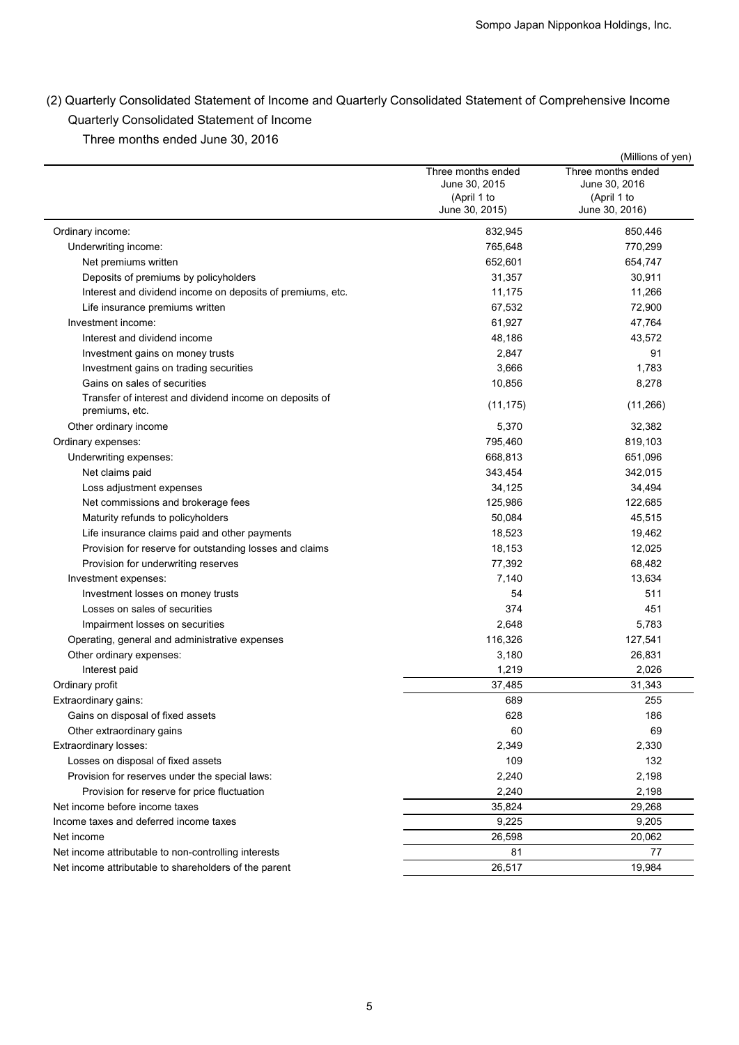| Three months ended June 30, 2016                                                                         |                                                                      | (Millions of yen)                                                    |
|----------------------------------------------------------------------------------------------------------|----------------------------------------------------------------------|----------------------------------------------------------------------|
|                                                                                                          | Three months ended<br>June 30, 2015<br>(April 1 to<br>June 30, 2015) | Three months ended<br>June 30, 2016<br>(April 1 to<br>June 30, 2016) |
| Ordinary income:                                                                                         | 832,945                                                              | 850,446                                                              |
| Underwriting income:                                                                                     | 765,648                                                              | 770,299                                                              |
| Net premiums written                                                                                     | 652,601                                                              | 654,747                                                              |
| Deposits of premiums by policyholders                                                                    | 31,357                                                               | 30,911                                                               |
| Interest and dividend income on deposits of premiums, etc.                                               | 11,175                                                               | 11,266                                                               |
| Life insurance premiums written                                                                          | 67,532                                                               | 72,900                                                               |
| Investment income:                                                                                       | 61,927                                                               | 47,764                                                               |
| Interest and dividend income                                                                             | 48,186                                                               | 43,572                                                               |
| Investment gains on money trusts<br>Investment gains on trading securities                               | 2,847<br>3,666                                                       | 91<br>1,783                                                          |
| Gains on sales of securities                                                                             | 10,856                                                               | 8,278                                                                |
| Transfer of interest and dividend income on deposits of<br>premiums, etc.                                | (11, 175)                                                            | (11, 266)                                                            |
| Other ordinary income                                                                                    | 5,370                                                                | 32,382                                                               |
| Ordinary expenses:                                                                                       | 795,460                                                              | 819,103                                                              |
| Underwriting expenses:                                                                                   | 668,813                                                              | 651,096                                                              |
| Net claims paid                                                                                          | 343,454                                                              | 342,015                                                              |
| Loss adjustment expenses                                                                                 | 34,125                                                               | 34,494                                                               |
| Net commissions and brokerage fees                                                                       | 125,986                                                              | 122,685                                                              |
| Maturity refunds to policyholders                                                                        | 50,084                                                               | 45,515                                                               |
| Life insurance claims paid and other payments<br>Provision for reserve for outstanding losses and claims | 18,523<br>18,153                                                     | 19,462<br>12,025                                                     |
| Provision for underwriting reserves                                                                      | 77,392                                                               | 68,482                                                               |
| Investment expenses:                                                                                     | 7,140                                                                | 13,634                                                               |
| Investment losses on money trusts                                                                        | 54                                                                   | 511                                                                  |
| Losses on sales of securities                                                                            | 374                                                                  | 451                                                                  |
| Impairment losses on securities                                                                          | 2,648                                                                | 5,783                                                                |
| Operating, general and administrative expenses                                                           | 116,326                                                              | 127,541                                                              |
| Other ordinary expenses:                                                                                 | 3,180                                                                | 26,831                                                               |
| Interest paid                                                                                            | 1,219                                                                | 2,026                                                                |
| Ordinary profit                                                                                          | 37,485                                                               | 31,343                                                               |
| Extraordinary gains:                                                                                     | 689                                                                  | 255                                                                  |
| Gains on disposal of fixed assets<br>Other extraordinary gains                                           | 628<br>60                                                            | 186<br>69                                                            |
| Extraordinary losses:                                                                                    | 2,349                                                                | 2,330                                                                |
| Losses on disposal of fixed assets                                                                       | 109                                                                  | 132                                                                  |
| Provision for reserves under the special laws:                                                           | 2,240                                                                | 2,198                                                                |
| Provision for reserve for price fluctuation                                                              | 2,240                                                                | 2,198                                                                |
| Net income before income taxes                                                                           | 35,824                                                               | 29,268                                                               |
| Income taxes and deferred income taxes                                                                   | 9,225                                                                | 9,205                                                                |
| Net income                                                                                               | 26,598                                                               | 20,062                                                               |
| Net income attributable to non-controlling interests                                                     | 81                                                                   | 77                                                                   |
| Net income attributable to shareholders of the parent                                                    | 26,517                                                               | 19,984                                                               |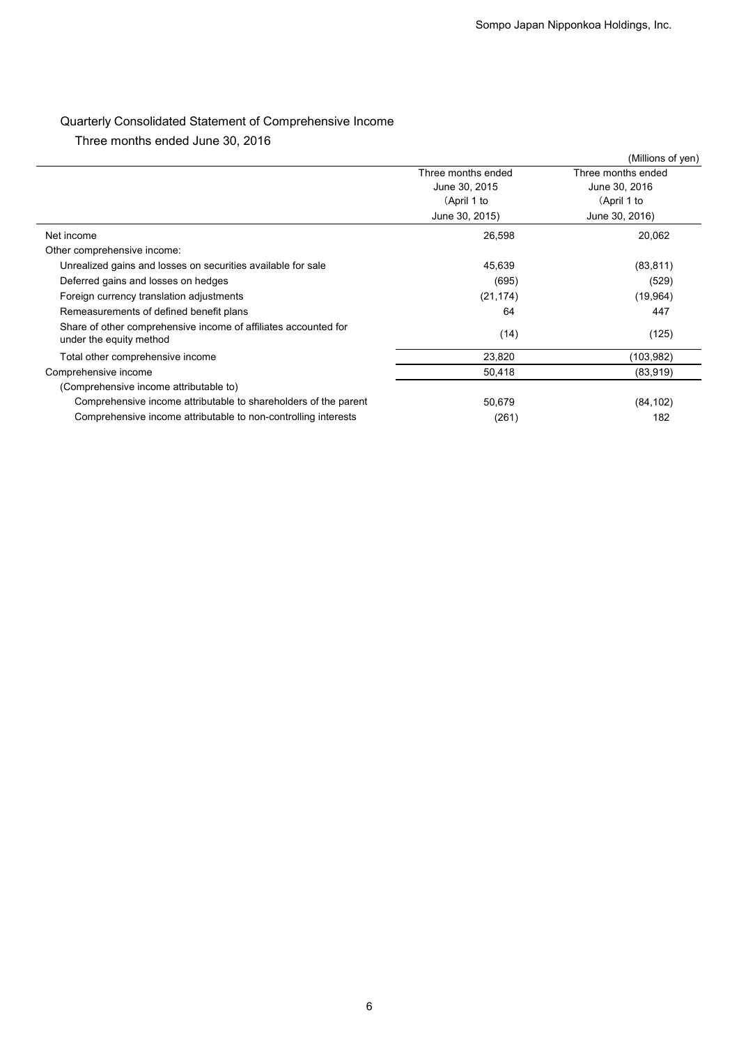# Quarterly Consolidated Statement of Comprehensive Income

|                                                                                 | Sompo Japan Nipponkoa Holdings, Inc. |                    |  |
|---------------------------------------------------------------------------------|--------------------------------------|--------------------|--|
|                                                                                 |                                      |                    |  |
|                                                                                 |                                      |                    |  |
|                                                                                 |                                      |                    |  |
|                                                                                 |                                      |                    |  |
| Quarterly Consolidated Statement of Comprehensive Income                        |                                      |                    |  |
| Three months ended June 30, 2016                                                |                                      |                    |  |
|                                                                                 |                                      | (Millions of yen)  |  |
|                                                                                 | Three months ended                   | Three months ended |  |
|                                                                                 | June 30, 2015                        | June 30, 2016      |  |
|                                                                                 | (April 1 to                          | (April 1 to        |  |
|                                                                                 | June 30, 2015)                       | June 30, 2016)     |  |
| Net income                                                                      | 26,598                               | 20,062             |  |
| Other comprehensive income:                                                     |                                      |                    |  |
| Unrealized gains and losses on securities available for sale                    | 45,639                               | (83, 811)          |  |
| Deferred gains and losses on hedges<br>Foreign currency translation adjustments | (695)                                | (529)              |  |
| Remeasurements of defined benefit plans                                         | (21, 174)<br>64                      | (19, 964)<br>447   |  |
| Share of other comprehensive income of affiliates accounted for                 |                                      |                    |  |
| under the equity method                                                         | (14)                                 | (125)              |  |
| Total other comprehensive income                                                | 23,820                               | (103, 982)         |  |
| Comprehensive income                                                            | 50,418                               | (83,919)           |  |
| (Comprehensive income attributable to)                                          |                                      |                    |  |
| Comprehensive income attributable to shareholders of the parent                 | 50,679                               | (84, 102)          |  |
| Comprehensive income attributable to non-controlling interests                  | (261)                                | 182                |  |
|                                                                                 |                                      |                    |  |
|                                                                                 |                                      |                    |  |
|                                                                                 |                                      |                    |  |
|                                                                                 |                                      |                    |  |
|                                                                                 |                                      |                    |  |
|                                                                                 |                                      |                    |  |
|                                                                                 |                                      |                    |  |
|                                                                                 |                                      |                    |  |
|                                                                                 |                                      |                    |  |
|                                                                                 |                                      |                    |  |
|                                                                                 |                                      |                    |  |
|                                                                                 |                                      |                    |  |
|                                                                                 |                                      |                    |  |
|                                                                                 |                                      |                    |  |
|                                                                                 |                                      |                    |  |
|                                                                                 |                                      |                    |  |
|                                                                                 |                                      |                    |  |
|                                                                                 |                                      |                    |  |
|                                                                                 |                                      |                    |  |
|                                                                                 |                                      |                    |  |
|                                                                                 |                                      |                    |  |
|                                                                                 |                                      |                    |  |
|                                                                                 |                                      |                    |  |
|                                                                                 |                                      |                    |  |
|                                                                                 |                                      |                    |  |
|                                                                                 |                                      |                    |  |
|                                                                                 |                                      |                    |  |
|                                                                                 |                                      |                    |  |
|                                                                                 |                                      |                    |  |
|                                                                                 |                                      |                    |  |
|                                                                                 |                                      |                    |  |
|                                                                                 |                                      |                    |  |
|                                                                                 |                                      |                    |  |
|                                                                                 |                                      |                    |  |
|                                                                                 |                                      |                    |  |
|                                                                                 |                                      |                    |  |
| 6                                                                               |                                      |                    |  |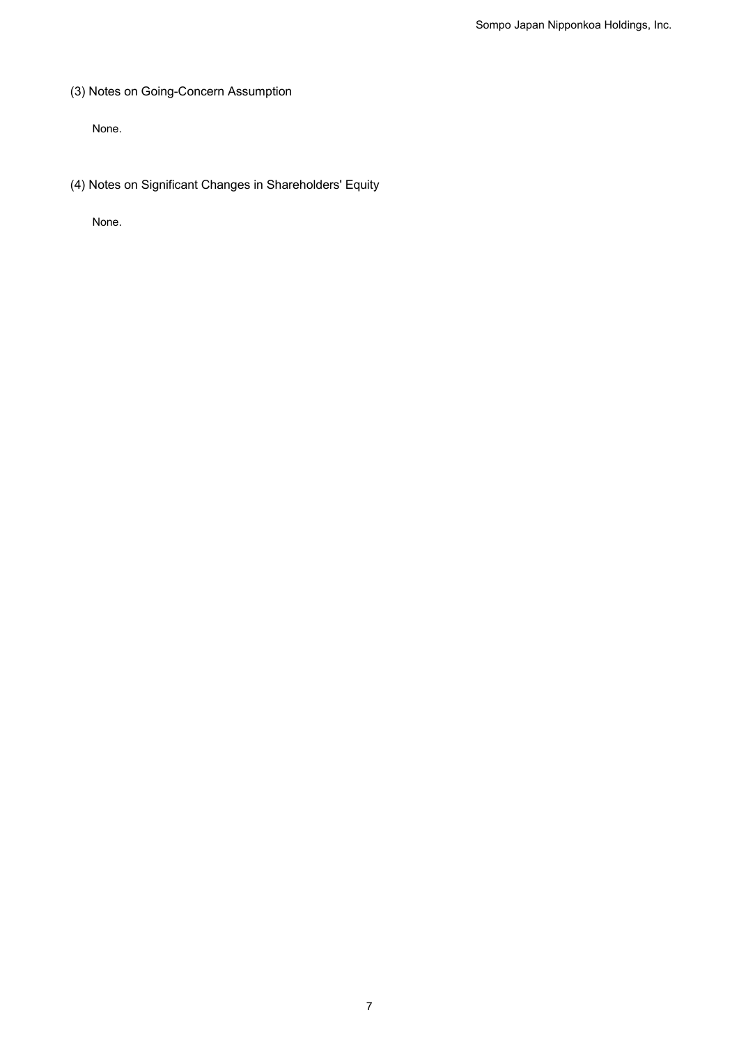(3) Notes on Going-Concern Assumption

None.

(4) Notes on Significant Changes in Shareholders' Equity

None.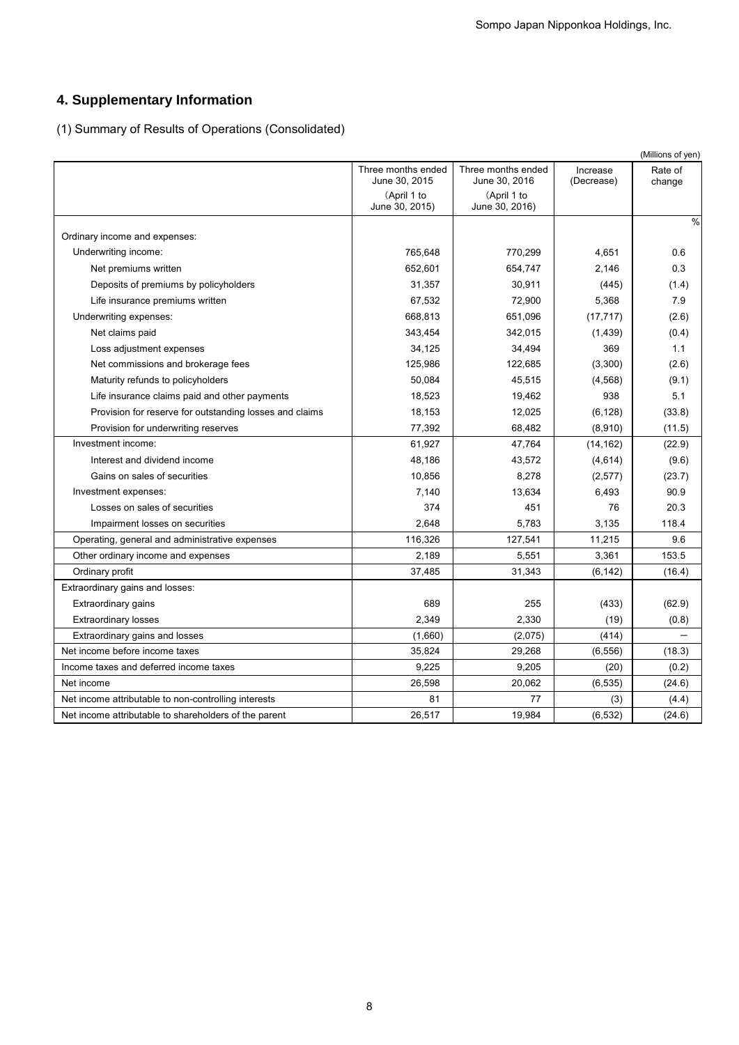# **4. Supplementary Information**

|                                                         |                                     |                                                     |                        | 4. Supplementary Information           |  |  |  |  |  |  |  |
|---------------------------------------------------------|-------------------------------------|-----------------------------------------------------|------------------------|----------------------------------------|--|--|--|--|--|--|--|
|                                                         |                                     | (1) Summary of Results of Operations (Consolidated) |                        |                                        |  |  |  |  |  |  |  |
|                                                         | Three months ended<br>June 30, 2015 | Three months ended<br>June 30, 2016                 | Increase<br>(Decrease) | (Millions of yen)<br>Rate of<br>change |  |  |  |  |  |  |  |
|                                                         | (April 1 to<br>June 30, 2015)       | (April 1 to<br>June 30, 2016)                       |                        |                                        |  |  |  |  |  |  |  |
| Ordinary income and expenses:                           |                                     |                                                     |                        | %                                      |  |  |  |  |  |  |  |
| Underwriting income:                                    | 765,648                             | 770,299                                             | 4,651                  | 0.6                                    |  |  |  |  |  |  |  |
| Net premiums written                                    | 652,601                             | 654,747                                             | 2,146                  | 0.3                                    |  |  |  |  |  |  |  |
| Deposits of premiums by policyholders                   | 31,357                              | 30,911                                              | (445)                  | (1.4)                                  |  |  |  |  |  |  |  |
| Life insurance premiums written                         | 67,532                              | 72,900                                              | 5,368                  | 7.9                                    |  |  |  |  |  |  |  |
| Underwriting expenses:                                  | 668,813                             | 651,096                                             | (17, 717)              | (2.6)                                  |  |  |  |  |  |  |  |
| Net claims paid                                         | 343,454                             | 342,015                                             | (1, 439)               | (0.4)                                  |  |  |  |  |  |  |  |
| Loss adjustment expenses                                | 34,125                              | 34,494                                              | 369                    | 1.1                                    |  |  |  |  |  |  |  |
| Net commissions and brokerage fees                      | 125,986                             | 122,685                                             | (3,300)                | (2.6)                                  |  |  |  |  |  |  |  |
| Maturity refunds to policyholders                       | 50,084                              | 45,515                                              | (4, 568)               | (9.1)                                  |  |  |  |  |  |  |  |
| Life insurance claims paid and other payments           | 18,523                              | 19,462                                              | 938                    | 5.1                                    |  |  |  |  |  |  |  |
| Provision for reserve for outstanding losses and claims | 18,153                              | 12,025                                              | (6, 128)               | (33.8)                                 |  |  |  |  |  |  |  |
| Provision for underwriting reserves                     | 77,392                              | 68,482                                              | (8,910)                | (11.5)                                 |  |  |  |  |  |  |  |
| Investment income:                                      | 61,927                              | 47,764                                              | (14, 162)              | (22.9)                                 |  |  |  |  |  |  |  |
| Interest and dividend income                            | 48,186                              | 43,572                                              | (4,614)                | (9.6)                                  |  |  |  |  |  |  |  |
| Gains on sales of securities                            | 10,856                              | 8,278                                               | (2, 577)               | (23.7)                                 |  |  |  |  |  |  |  |
| Investment expenses:                                    | 7,140                               | 13,634                                              | 6,493                  | 90.9                                   |  |  |  |  |  |  |  |
| Losses on sales of securities                           | 374                                 | 451                                                 | 76                     | 20.3                                   |  |  |  |  |  |  |  |
| Impairment losses on securities                         | 2,648                               | 5,783                                               | 3,135                  | 118.4                                  |  |  |  |  |  |  |  |
| Operating, general and administrative expenses          | 116,326                             | 127,541                                             | 11,215                 | 9.6                                    |  |  |  |  |  |  |  |
| Other ordinary income and expenses                      | 2,189                               | 5,551                                               | 3,361                  | 153.5                                  |  |  |  |  |  |  |  |
| Ordinary profit                                         | 37,485                              | 31,343                                              | (6, 142)               | (16.4)                                 |  |  |  |  |  |  |  |
| Extraordinary gains and losses:                         |                                     |                                                     |                        |                                        |  |  |  |  |  |  |  |
| Extraordinary gains                                     | 689                                 | 255                                                 | (433)                  | (62.9)                                 |  |  |  |  |  |  |  |
| <b>Extraordinary losses</b>                             | 2,349                               | 2,330                                               | (19)                   | (0.8)                                  |  |  |  |  |  |  |  |
| Extraordinary gains and losses                          | (1,660)                             | (2,075)                                             | (414)                  | $\equiv$                               |  |  |  |  |  |  |  |
| Net income before income taxes                          | 35,824                              | 29,268                                              | (6, 556)               | (18.3)                                 |  |  |  |  |  |  |  |
| Income taxes and deferred income taxes                  | 9,225                               | 9,205                                               | (20)                   | (0.2)                                  |  |  |  |  |  |  |  |
| Net income                                              | 26,598                              | 20,062                                              | (6, 535)               | (24.6)                                 |  |  |  |  |  |  |  |
| Net income attributable to non-controlling interests    | 81                                  | 77                                                  | (3)                    | (4.4)                                  |  |  |  |  |  |  |  |
| Net income attributable to shareholders of the parent   | 26,517                              | 19,984                                              | (6, 532)               | (24.6)                                 |  |  |  |  |  |  |  |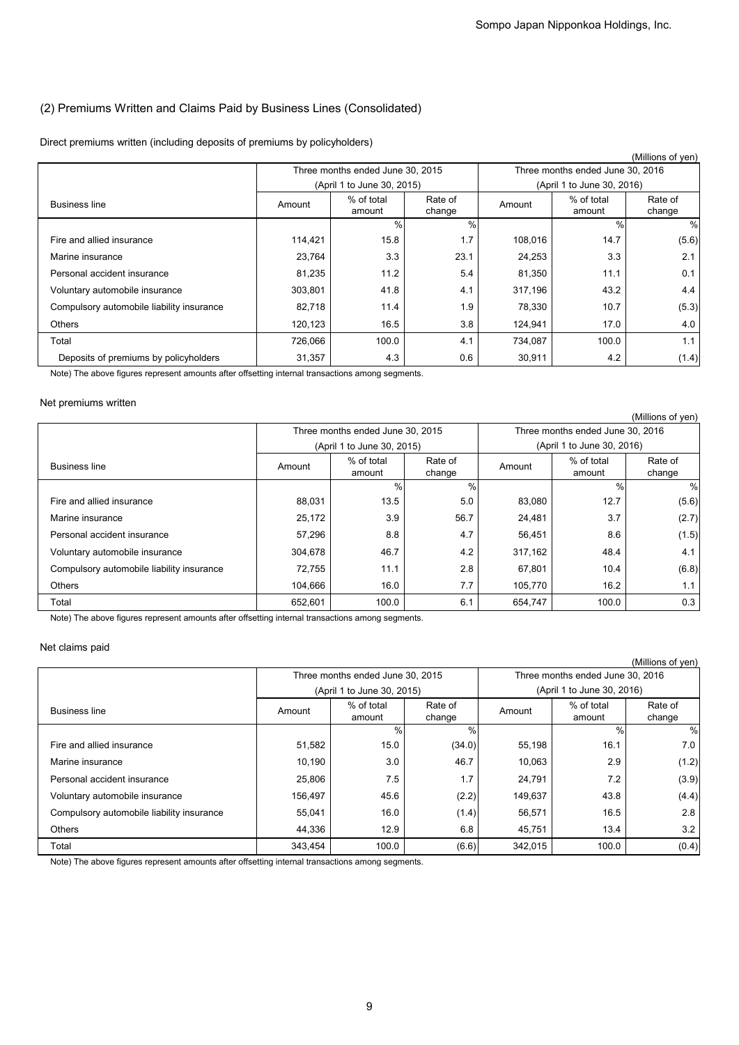## (2) Premiums Written and Claims Paid by Business Lines (Consolidated)

## Direct premiums written (including deposits of premiums by policyholders)

|                                                                                                                          |                   | Direct premiums written (including deposits of premiums by policyholders) |                            |                                                       |                                  | (Millions of yen)      |  |
|--------------------------------------------------------------------------------------------------------------------------|-------------------|---------------------------------------------------------------------------|----------------------------|-------------------------------------------------------|----------------------------------|------------------------|--|
|                                                                                                                          |                   | Three months ended June 30, 2015                                          |                            | Three months ended June 30, 2016                      |                                  |                        |  |
|                                                                                                                          |                   |                                                                           | (April 1 to June 30, 2015) |                                                       | (April 1 to June 30, 2016)       |                        |  |
| <b>Business line</b>                                                                                                     | Amount            | % of total<br>amount                                                      | Rate of<br>change          | Amount                                                | % of total<br>amount             | Rate of<br>change      |  |
| Fire and allied insurance                                                                                                | 114,421           | $\frac{0}{0}$<br>15.8                                                     | %<br>1.7                   | 108,016                                               | $\%$<br>14.7                     | $\frac{0}{0}$<br>(5.6) |  |
| Marine insurance                                                                                                         | 23,764            | 3.3                                                                       | 23.1                       | 24,253                                                | 3.3                              | 2.1                    |  |
| Personal accident insurance                                                                                              | 81,235            | 11.2                                                                      | 5.4                        | 81,350                                                | 11.1                             | 0.1                    |  |
| Voluntary automobile insurance                                                                                           | 303,801           | 41.8                                                                      | 4.1                        | 317,196                                               | 43.2                             | 4.4                    |  |
| Compulsory automobile liability insurance                                                                                | 82,718            | 11.4                                                                      | 1.9                        | 78,330                                                | 10.7                             | (5.3)                  |  |
| Others                                                                                                                   | 120,123           | 16.5                                                                      | 3.8                        | 124,941                                               | 17.0                             | 4.0                    |  |
| Total                                                                                                                    | 726,066           | 100.0                                                                     | 4.1                        | 734,087                                               | 100.0                            | 1.1                    |  |
| Deposits of premiums by policyholders                                                                                    | 31,357            | 4.3                                                                       | 0.6                        | 30,911                                                | 4.2                              | (1.4)                  |  |
| Note) The above figures represent amounts after offsetting internal transactions among segments.<br>Net premiums written |                   |                                                                           |                            |                                                       |                                  |                        |  |
|                                                                                                                          |                   | Three months ended June 30, 2015                                          |                            | (Millions of yen)<br>Three months ended June 30, 2016 |                                  |                        |  |
|                                                                                                                          |                   | (April 1 to June 30, 2015)                                                |                            |                                                       | (April 1 to June 30, 2016)       |                        |  |
| <b>Business line</b>                                                                                                     | Amount            | % of total<br>amount                                                      | Rate of<br>change          | Amount                                                | % of total<br>amount             | Rate of<br>change      |  |
|                                                                                                                          |                   | %                                                                         | $\frac{0}{0}$              |                                                       | $\%$                             | $\%$                   |  |
| Fire and allied insurance                                                                                                | 88,031            | 13.5                                                                      | 5.0                        | 83,080                                                | 12.7                             | (5.6)                  |  |
| Marine insurance                                                                                                         | 25,172            | 3.9                                                                       | 56.7                       | 24,481                                                | 3.7                              | (2.7)                  |  |
| Personal accident insurance                                                                                              | 57,296            | 8.8                                                                       | 4.7                        | 56,451                                                | 8.6                              | (1.5)                  |  |
| Voluntary automobile insurance                                                                                           | 304,678           | 46.7                                                                      | 4.2                        | 317,162                                               | 48.4                             | 4.1                    |  |
| Compulsory automobile liability insurance                                                                                | 72,755            | 11.1                                                                      | 2.8                        | 67,801                                                | 10.4                             | (6.8)                  |  |
| Others                                                                                                                   | 104,666           | 16.0                                                                      | 7.7                        | 105,770                                               | 16.2                             | 1.1                    |  |
| Total                                                                                                                    | 652,601           | 100.0                                                                     | 6.1                        | 654,747                                               | 100.0                            | 0.3                    |  |
| Note) The above figures represent amounts after offsetting internal transactions among segments.                         |                   |                                                                           |                            |                                                       |                                  |                        |  |
| Net claims paid                                                                                                          |                   |                                                                           |                            |                                                       |                                  |                        |  |
|                                                                                                                          |                   | Three months ended June 30, 2015                                          |                            |                                                       | Three months ended June 30, 2016 | (Millions of yen)      |  |
|                                                                                                                          |                   | (April 1 to June 30, 2015)                                                |                            |                                                       | (April 1 to June 30, 2016)       |                        |  |
| <b>Business line</b>                                                                                                     | Amount            | % of total<br>amount                                                      | Rate of<br>change          | Amount                                                | % of total<br>amount             | Rate of<br>change      |  |
| Fire and allied insurance                                                                                                |                   | $\frac{0}{0}$                                                             | %                          |                                                       | $\%$                             | $\frac{0}{0}$          |  |
| Marine insurance                                                                                                         | 51,582            | 15.0                                                                      | (34.0)                     | 55,198                                                | 16.1                             | 7.0                    |  |
| Personal accident insurance                                                                                              | 10,190            | 3.0<br>7.5                                                                | 46.7<br>1.7                | 10,063                                                | 2.9<br>7.2                       | (1.2)                  |  |
|                                                                                                                          | 25,806            | 45.6                                                                      |                            | 24,791                                                | 43.8                             | (3.9)                  |  |
| Voluntary automobile insurance                                                                                           | 156,497           | 16.0                                                                      | (2.2)                      | 149,637                                               | 16.5                             | (4.4)                  |  |
| Compulsory automobile liability insurance<br>Others                                                                      | 55,041            | 12.9                                                                      | (1.4)                      | 56,571                                                |                                  | 2.8                    |  |
| Total                                                                                                                    | 44,336<br>343,454 | 100.0                                                                     | 6.8<br>(6.6)               | 45,751<br>342,015                                     | 13.4<br>100.0                    | 3.2<br>(0.4)           |  |

## Net premiums written

|                                           |                                  |                      |                   |                                  |                            | (Millions of yen) |  |
|-------------------------------------------|----------------------------------|----------------------|-------------------|----------------------------------|----------------------------|-------------------|--|
|                                           | Three months ended June 30, 2015 |                      |                   | Three months ended June 30, 2016 |                            |                   |  |
|                                           | (April 1 to June 30, 2015)       |                      |                   |                                  | (April 1 to June 30, 2016) |                   |  |
| <b>Business line</b>                      | Amount                           | % of total<br>amount | Rate of<br>change | Amount                           | % of total<br>amount       | Rate of<br>change |  |
|                                           |                                  | $\%$                 | $\%$              |                                  | $\%$                       | %                 |  |
| Fire and allied insurance                 | 88,031                           | 13.5                 | 5.0               | 83,080                           | 12.7                       | (5.6)             |  |
| Marine insurance                          | 25,172                           | 3.9                  | 56.7              | 24,481                           | 3.7                        | (2.7)             |  |
| Personal accident insurance               | 57,296                           | 8.8                  | 4.7               | 56,451                           | 8.6                        | (1.5)             |  |
| Voluntary automobile insurance            | 304,678                          | 46.7                 | 4.2               | 317,162                          | 48.4                       | 4.1               |  |
| Compulsory automobile liability insurance | 72,755                           | 11.1                 | 2.8               | 67,801                           | 10.4                       | (6.8)             |  |
| <b>Others</b>                             | 104,666                          | 16.0                 | 7.7               | 105,770                          | 16.2                       | 1.1 <sub>1</sub>  |  |
| Total                                     | 652,601                          | 100.0                | 6.1               | 654,747                          | 100.0                      | 0.3               |  |

## Net claims paid

|                                           |                            |                                  |                   |                                  |                      | (Millions of yen) |  |
|-------------------------------------------|----------------------------|----------------------------------|-------------------|----------------------------------|----------------------|-------------------|--|
|                                           |                            | Three months ended June 30, 2015 |                   | Three months ended June 30, 2016 |                      |                   |  |
|                                           | (April 1 to June 30, 2015) |                                  |                   | (April 1 to June 30, 2016)       |                      |                   |  |
| <b>Business line</b>                      | Amount                     | % of total<br>amount             | Rate of<br>change | Amount                           | % of total<br>amount | Rate of<br>change |  |
|                                           |                            | $\frac{0}{0}$                    | %                 |                                  | $\frac{0}{0}$        | %                 |  |
| Fire and allied insurance                 | 51,582                     | 15.0                             | (34.0)            | 55,198                           | 16.1                 | 7.0               |  |
| Marine insurance                          | 10,190                     | 3.0                              | 46.7              | 10,063                           | 2.9                  | (1.2)             |  |
| Personal accident insurance               | 25,806                     | 7.5                              | 1.7               | 24,791                           | 7.2                  | (3.9)             |  |
| Voluntary automobile insurance            | 156,497                    | 45.6                             | (2.2)             | 149,637                          | 43.8                 | (4.4)             |  |
| Compulsory automobile liability insurance | 55,041                     | 16.0                             | (1.4)             | 56,571                           | 16.5                 | 2.8               |  |
| <b>Others</b>                             | 44.336                     | 12.9                             | 6.8               | 45,751                           | 13.4                 | 3.2               |  |
| Total                                     | 343,454                    | 100.0                            | (6.6)             | 342.015                          | 100.0                | (0.4)             |  |